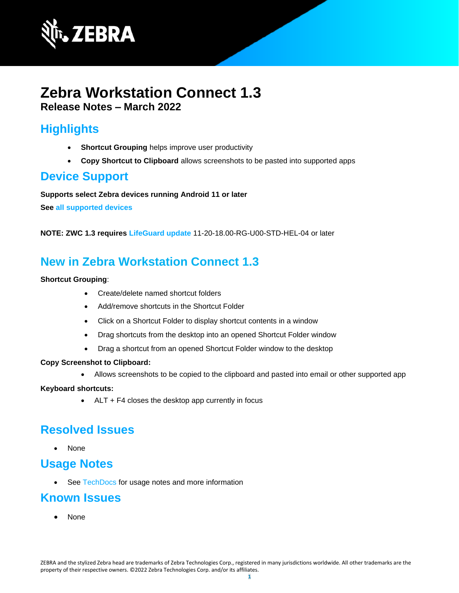

# **Zebra Workstation Connect 1.3 Release Notes – March 2022**

# **Highlights**

- **Shortcut Grouping** helps improve user productivity
- **Copy Shortcut to Clipboard** allows screenshots to be pasted into supported apps

### **Device Support**

**Supports select Zebra devices running Android 11 or later** 

**See [all supported devices](https://www.zebra.com/us/en/support-downloads/software/productivity-apps/workstation-connect.html)**

**NOTE: ZWC 1.3 requires [LifeGuard update](https://www.zebra.com/us/en/support-downloads/lifeguard-security.html)** 11-20-18.00-RG-U00-STD-HEL-04 or later

# **New in Zebra Workstation Connect 1.3**

#### **Shortcut Grouping**:

- Create/delete named shortcut folders
- Add/remove shortcuts in the Shortcut Folder
- Click on a Shortcut Folder to display shortcut contents in a window
- Drag shortcuts from the desktop into an opened Shortcut Folder window
- Drag a shortcut from an opened Shortcut Folder window to the desktop

#### **Copy Screenshot to Clipboard:**

• Allows screenshots to be copied to the clipboard and pasted into email or other supported app

#### **Keyboard shortcuts:**

• ALT + F4 closes the desktop app currently in focus

## **Resolved Issues**

• None

### **Usage Notes**

• See [TechDocs](https://techdocs.zebra.com/zwc/1-3/about/) for usage notes and more information

### **Known Issues**

• None